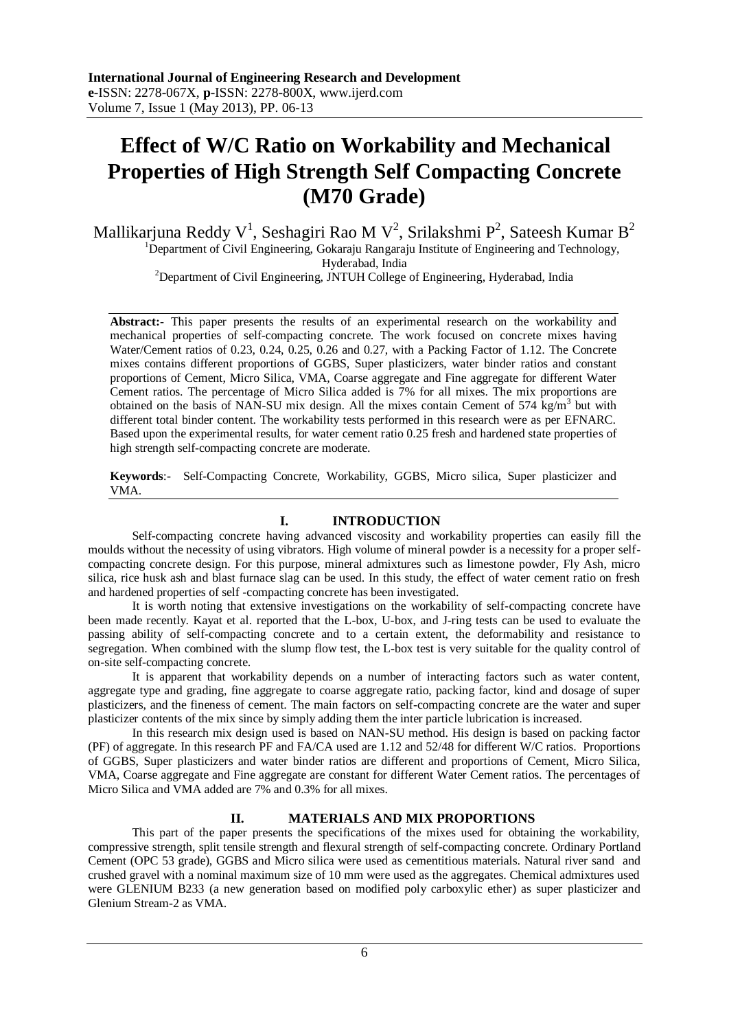# **Effect of W/C Ratio on Workability and Mechanical Properties of High Strength Self Compacting Concrete (M70 Grade)**

Mallikarjuna Reddy V<sup>1</sup>, Seshagiri Rao M V<sup>2</sup>, Srilakshmi P<sup>2</sup>, Sateesh Kumar B<sup>2</sup> <sup>1</sup>Department of Civil Engineering, Gokaraju Rangaraju Institute of Engineering and Technology, Hyderabad, India

<sup>2</sup>Department of Civil Engineering, JNTUH College of Engineering, Hyderabad, India

Abstract:- This paper presents the results of an experimental research on the workability and mechanical properties of self-compacting concrete. The work focused on concrete mixes having Water/Cement ratios of 0.23, 0.24, 0.25, 0.26 and 0.27, with a Packing Factor of 1.12. The Concrete mixes contains different proportions of GGBS, Super plasticizers, water binder ratios and constant proportions of Cement, Micro Silica, VMA, Coarse aggregate and Fine aggregate for different Water Cement ratios. The percentage of Micro Silica added is 7% for all mixes. The mix proportions are obtained on the basis of NAN-SU mix design. All the mixes contain Cement of 574  $\text{kg/m}^3$  but with different total binder content. The workability tests performed in this research were as per EFNARC. Based upon the experimental results, for water cement ratio 0.25 fresh and hardened state properties of high strength self-compacting concrete are moderate.

**Keywords**:- Self-Compacting Concrete, Workability, GGBS, Micro silica, Super plasticizer and VMA.

## **I. INTRODUCTION**

Self-compacting concrete having advanced viscosity and workability properties can easily fill the moulds without the necessity of using vibrators. High volume of mineral powder is a necessity for a proper selfcompacting concrete design. For this purpose, mineral admixtures such as limestone powder, Fly Ash, micro silica, rice husk ash and blast furnace slag can be used. In this study, the effect of water cement ratio on fresh and hardened properties of self -compacting concrete has been investigated.

It is worth noting that extensive investigations on the workability of self-compacting concrete have been made recently. Kayat et al. reported that the L-box, U-box, and J-ring tests can be used to evaluate the passing ability of self-compacting concrete and to a certain extent, the deformability and resistance to segregation. When combined with the slump flow test, the L-box test is very suitable for the quality control of on-site self-compacting concrete.

It is apparent that workability depends on a number of interacting factors such as water content, aggregate type and grading, fine aggregate to coarse aggregate ratio, packing factor, kind and dosage of super plasticizers, and the fineness of cement. The main factors on self-compacting concrete are the water and super plasticizer contents of the mix since by simply adding them the inter particle lubrication is increased.

In this research mix design used is based on NAN-SU method. His design is based on packing factor (PF) of aggregate. In this research PF and FA/CA used are 1.12 and 52/48 for different W/C ratios. Proportions of GGBS, Super plasticizers and water binder ratios are different and proportions of Cement, Micro Silica, VMA, Coarse aggregate and Fine aggregate are constant for different Water Cement ratios. The percentages of Micro Silica and VMA added are 7% and 0.3% for all mixes.

#### **II. MATERIALS AND MIX PROPORTIONS**

This part of the paper presents the specifications of the mixes used for obtaining the workability, compressive strength, split tensile strength and flexural strength of self-compacting concrete. Ordinary Portland Cement (OPC 53 grade), GGBS and Micro silica were used as cementitious materials. Natural river sand and crushed gravel with a nominal maximum size of 10 mm were used as the aggregates. Chemical admixtures used were GLENIUM B233 (a new generation based on modified poly carboxylic ether) as super plasticizer and Glenium Stream-2 as VMA.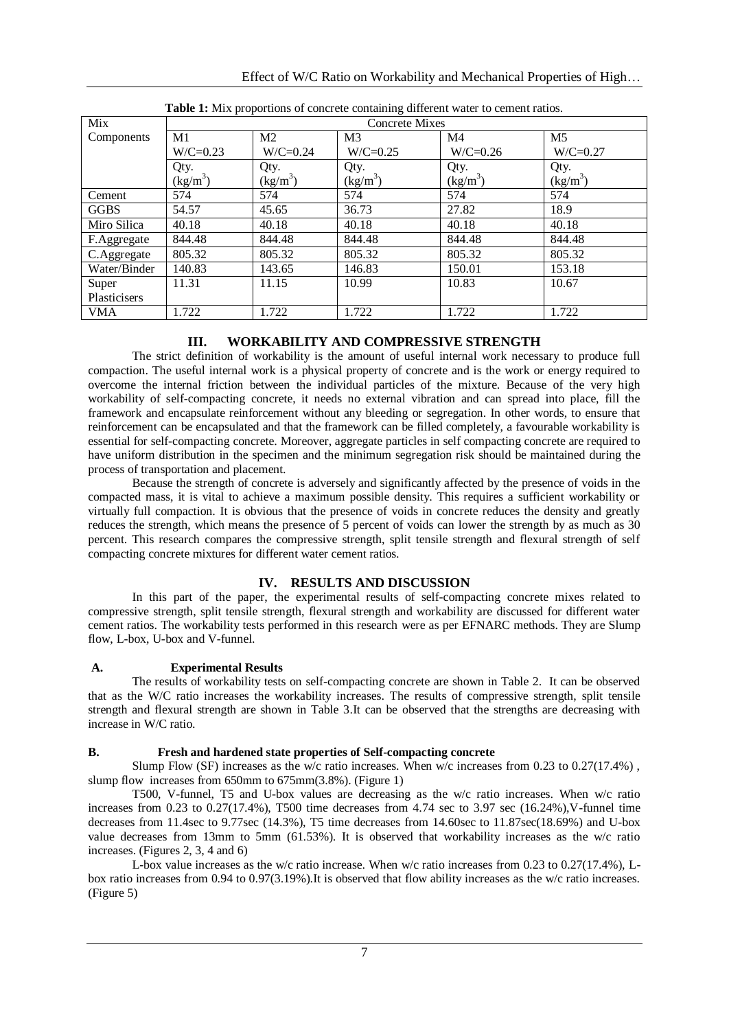| Effect of W/C Ratio on Workability and Mechanical Properties of High |  |  |
|----------------------------------------------------------------------|--|--|
|                                                                      |  |  |

| Mix          | waxe in their proportions or concrete containing university water to content ratios<br><b>Concrete Mixes</b> |                |                |            |                |  |
|--------------|--------------------------------------------------------------------------------------------------------------|----------------|----------------|------------|----------------|--|
| Components   | M1                                                                                                           | M <sub>2</sub> | M <sub>3</sub> | M4         | M <sub>5</sub> |  |
|              | $W/C = 0.23$                                                                                                 | $W/C = 0.24$   | $W/C=0.25$     | $W/C=0.26$ | $W/C=0.27$     |  |
|              | Qty.                                                                                                         | Qty.           | Qty.           | Qty.       | Qty.           |  |
|              | $(kg/m^3)$                                                                                                   | $(kg/m^3)$     | $(kg/m^3)$     | $(kg/m^3)$ | $(kg/m^3)$     |  |
| Cement       | 574                                                                                                          | 574            | 574            | 574        | 574            |  |
| <b>GGBS</b>  | 54.57                                                                                                        | 45.65          | 36.73          | 27.82      | 18.9           |  |
| Miro Silica  | 40.18                                                                                                        | 40.18          | 40.18          | 40.18      | 40.18          |  |
| F.Aggregate  | 844.48                                                                                                       | 844.48         | 844.48         | 844.48     | 844.48         |  |
| C.Aggregate  | 805.32                                                                                                       | 805.32         | 805.32         | 805.32     | 805.32         |  |
| Water/Binder | 140.83                                                                                                       | 143.65         | 146.83         | 150.01     | 153.18         |  |
| Super        | 11.31                                                                                                        | 11.15          | 10.99          | 10.83      | 10.67          |  |
| Plasticisers |                                                                                                              |                |                |            |                |  |
| <b>VMA</b>   | 1.722                                                                                                        | 1.722          | 1.722          | 1.722      | 1.722          |  |

|  | Table 1: Mix proportions of concrete containing different water to cement ratios. |
|--|-----------------------------------------------------------------------------------|
|--|-----------------------------------------------------------------------------------|

# **III. WORKABILITY AND COMPRESSIVE STRENGTH**

The strict definition of workability is the amount of useful internal work necessary to produce full compaction. The useful internal work is a physical property of concrete and is the work or energy required to overcome the internal friction between the individual particles of the mixture. Because of the very high workability of self-compacting concrete, it needs no external vibration and can spread into place, fill the framework and encapsulate reinforcement without any bleeding or segregation. In other words, to ensure that reinforcement can be encapsulated and that the framework can be filled completely, a favourable workability is essential for self-compacting concrete. Moreover, aggregate particles in self compacting concrete are required to have uniform distribution in the specimen and the minimum segregation risk should be maintained during the process of transportation and placement.

Because the strength of concrete is adversely and significantly affected by the presence of voids in the compacted mass, it is vital to achieve a maximum possible density. This requires a sufficient workability or virtually full compaction. It is obvious that the presence of voids in concrete reduces the density and greatly reduces the strength, which means the presence of 5 percent of voids can lower the strength by as much as 30 percent. This research compares the compressive strength, split tensile strength and flexural strength of self compacting concrete mixtures for different water cement ratios.

# **IV. RESULTS AND DISCUSSION**

In this part of the paper, the experimental results of self-compacting concrete mixes related to compressive strength, split tensile strength, flexural strength and workability are discussed for different water cement ratios. The workability tests performed in this research were as per EFNARC methods. They are Slump flow, L-box, U-box and V-funnel.

# **A. Experimental Results**

The results of workability tests on self-compacting concrete are shown in Table 2. It can be observed that as the W/C ratio increases the workability increases. The results of compressive strength, split tensile strength and flexural strength are shown in Table 3.It can be observed that the strengths are decreasing with increase in W/C ratio.

#### **B. Fresh and hardened state properties of Self-compacting concrete**

Slump Flow (SF) increases as the w/c ratio increases. When w/c increases from 0.23 to 0.27(17.4%), slump flow increases from 650mm to 675mm(3.8%). (Figure 1)

T500, V-funnel, T5 and U-box values are decreasing as the w/c ratio increases. When w/c ratio increases from  $0.23$  to  $0.27(17.4\%)$ , T500 time decreases from 4.74 sec to 3.97 sec  $(16.24\%)$ ,V-funnel time decreases from 11.4sec to 9.77sec (14.3%), T5 time decreases from 14.60sec to 11.87sec(18.69%) and U-box value decreases from 13mm to 5mm (61.53%). It is observed that workability increases as the w/c ratio increases. (Figures 2, 3, 4 and 6)

L-box value increases as the w/c ratio increase. When w/c ratio increases from 0.23 to 0.27(17.4%), Lbox ratio increases from 0.94 to 0.97(3.19%).It is observed that flow ability increases as the w/c ratio increases. (Figure 5)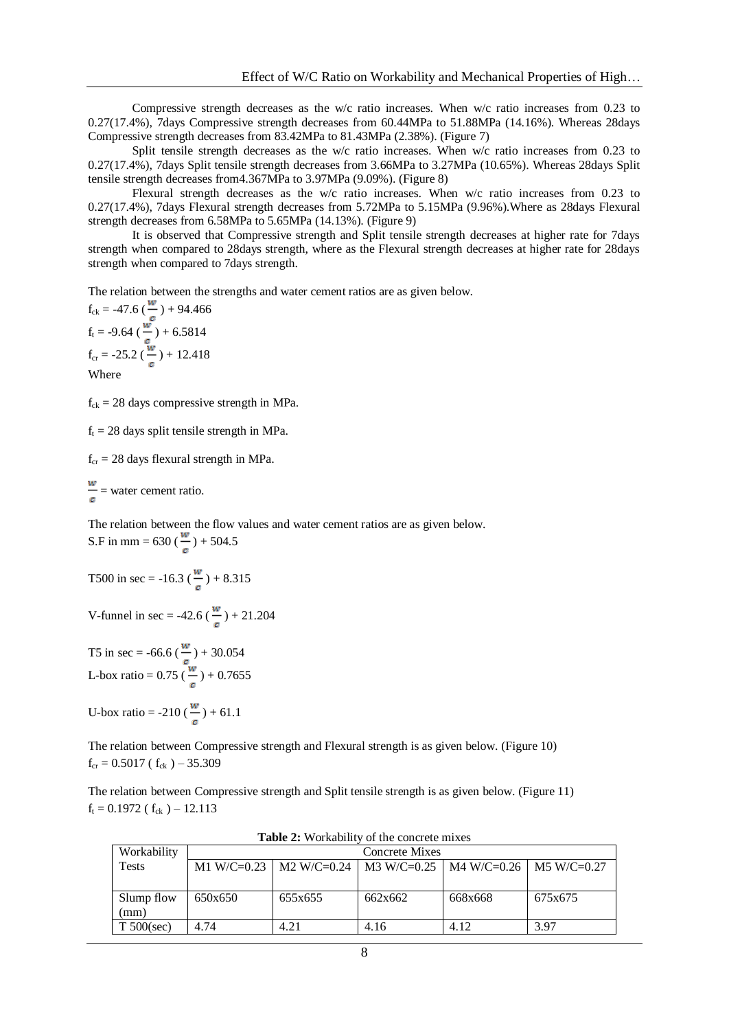Compressive strength decreases as the w/c ratio increases. When w/c ratio increases from 0.23 to 0.27(17.4%), 7days Compressive strength decreases from 60.44MPa to 51.88MPa (14.16%). Whereas 28days Compressive strength decreases from 83.42MPa to 81.43MPa (2.38%). (Figure 7)

Split tensile strength decreases as the w/c ratio increases. When w/c ratio increases from 0.23 to 0.27(17.4%), 7days Split tensile strength decreases from 3.66MPa to 3.27MPa (10.65%). Whereas 28days Split tensile strength decreases from4.367MPa to 3.97MPa (9.09%). (Figure 8)

Flexural strength decreases as the w/c ratio increases. When w/c ratio increases from 0.23 to 0.27(17.4%), 7days Flexural strength decreases from 5.72MPa to 5.15MPa (9.96%).Where as 28days Flexural strength decreases from 6.58MPa to 5.65MPa (14.13%). (Figure 9)

It is observed that Compressive strength and Split tensile strength decreases at higher rate for 7days strength when compared to 28days strength, where as the Flexural strength decreases at higher rate for 28days strength when compared to 7days strength.

The relation between the strengths and water cement ratios are as given below.

$$
f_{ck} = -47.6 \left(\frac{w}{c}\right) + 94.466
$$
  
\n $f_t = -9.64 \left(\frac{w}{c}\right) + 6.5814$   
\n $f_{cr} = -25.2 \left(\frac{w}{c}\right) + 12.418$   
\nWhere

 $f_{ck} = 28$  days compressive strength in MPa.

 $f<sub>t</sub> = 28$  days split tensile strength in MPa.

 $f_{cr} = 28$  days flexural strength in MPa.

$$
\frac{w}{c}
$$
 = water cement ratio.

The relation between the flow values and water cement ratios are as given below. S.F in mm = 630 ( $\frac{w}{q}$ ) + 504.5

T500 in sec = -16.3 
$$
\left(\frac{w}{c}\right)
$$
 + 8.315

V-funnel in sec = -42.6 
$$
(\frac{w}{c})
$$
 + 21.204

T5 in sec =  $-66.6$  ( $-$ ) + 30.054 L-box ratio =  $0.75$  ( $-$ ) +  $0.7655$ 

U-box ratio = -210 ( $\frac{w}{q}$ ) + 61.1

The relation between Compressive strength and Flexural strength is as given below. (Figure 10)  $f_{cr} = 0.5017$  ( $f_{ck}$ ) – 35.309

The relation between Compressive strength and Split tensile strength is as given below. (Figure 11)  $f_t = 0.1972$  ( $f_{ck}$ ) – 12.113

| Workability   | <b>Concrete Mixes</b> |                                                                     |         |         |         |  |
|---------------|-----------------------|---------------------------------------------------------------------|---------|---------|---------|--|
| <b>Tests</b>  |                       | M1 W/C=0.23   M2 W/C=0.24   M3 W/C=0.25   M4 W/C=0.26   M5 W/C=0.27 |         |         |         |  |
|               |                       |                                                                     |         |         |         |  |
| Slump flow    | 650x650               | 655x655                                                             | 662x662 | 668x668 | 675x675 |  |
| (mm)          |                       |                                                                     |         |         |         |  |
| $T 500$ (sec) | 4.74                  | 4.21                                                                | 4.16    | 4.12    | 3.97    |  |

**Table 2:** Workability of the concrete mixes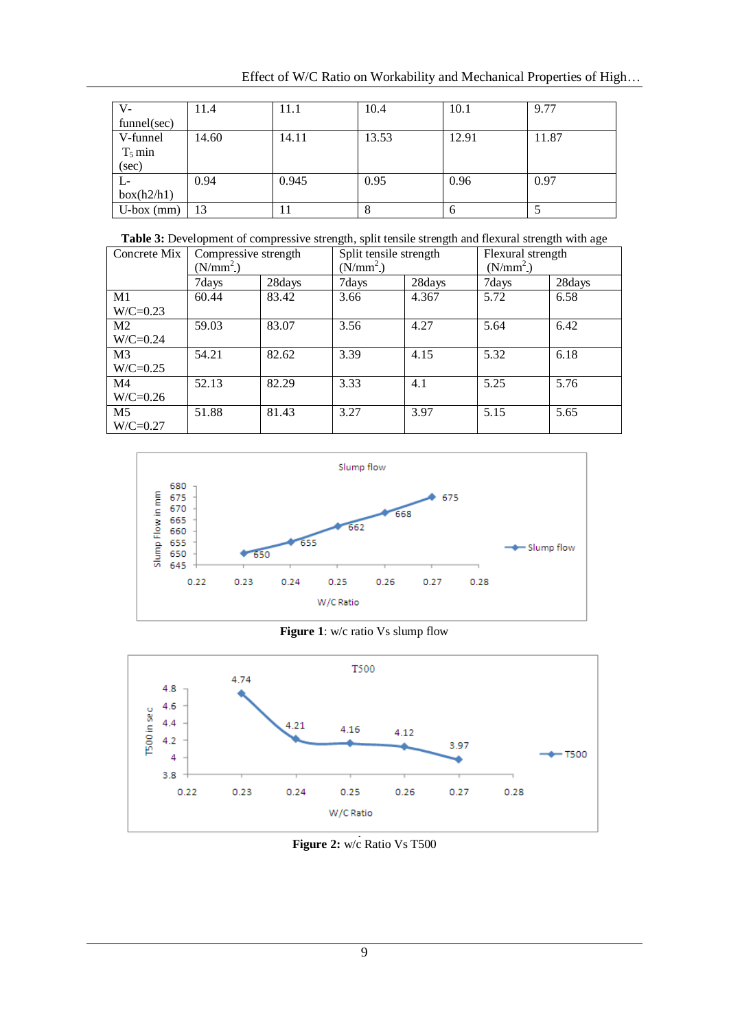Effect of W/C Ratio on Workability and Mechanical Properties of High…

| V-           | 11.4  | 11.1  | 10.4  | 10.1  | 9.77  |
|--------------|-------|-------|-------|-------|-------|
| funnel(sec)  |       |       |       |       |       |
| V-funnel     | 14.60 | 14.11 | 13.53 | 12.91 | 11.87 |
| $T_5$ min    |       |       |       |       |       |
| (sec)        |       |       |       |       |       |
| L-           | 0.94  | 0.945 | 0.95  | 0.96  | 0.97  |
| box(h2/h1)   |       |       |       |       |       |
| $U-box (mm)$ | 13    |       | 8     | 6     |       |

Table 3: Development of compressive strength, split tensile strength and flexural strength with age

| Concrete Mix   | Compressive strength<br>$(N/mm^2)$ |        | Split tensile strength<br>$(N/mm^2)$ |        | Flexural strength<br>$(N/mm^2)$ |        |
|----------------|------------------------------------|--------|--------------------------------------|--------|---------------------------------|--------|
|                | 7days                              | 28days | 7days                                | 28days | 7days                           | 28days |
| M1             | 60.44                              | 83.42  | 3.66                                 | 4.367  | 5.72                            | 6.58   |
| $W/C=0.23$     |                                    |        |                                      |        |                                 |        |
| M2             | 59.03                              | 83.07  | 3.56                                 | 4.27   | 5.64                            | 6.42   |
| $W/C=0.24$     |                                    |        |                                      |        |                                 |        |
| M <sub>3</sub> | 54.21                              | 82.62  | 3.39                                 | 4.15   | 5.32                            | 6.18   |
| $W/C=0.25$     |                                    |        |                                      |        |                                 |        |
| M4             | 52.13                              | 82.29  | 3.33                                 | 4.1    | 5.25                            | 5.76   |
| $W/C=0.26$     |                                    |        |                                      |        |                                 |        |
| M5             | 51.88                              | 81.43  | 3.27                                 | 3.97   | 5.15                            | 5.65   |
| $W/C=0.27$     |                                    |        |                                      |        |                                 |        |



**Figure 1**: w/c ratio Vs slump flow



**Figure 2:** w/c Ratio Vs T500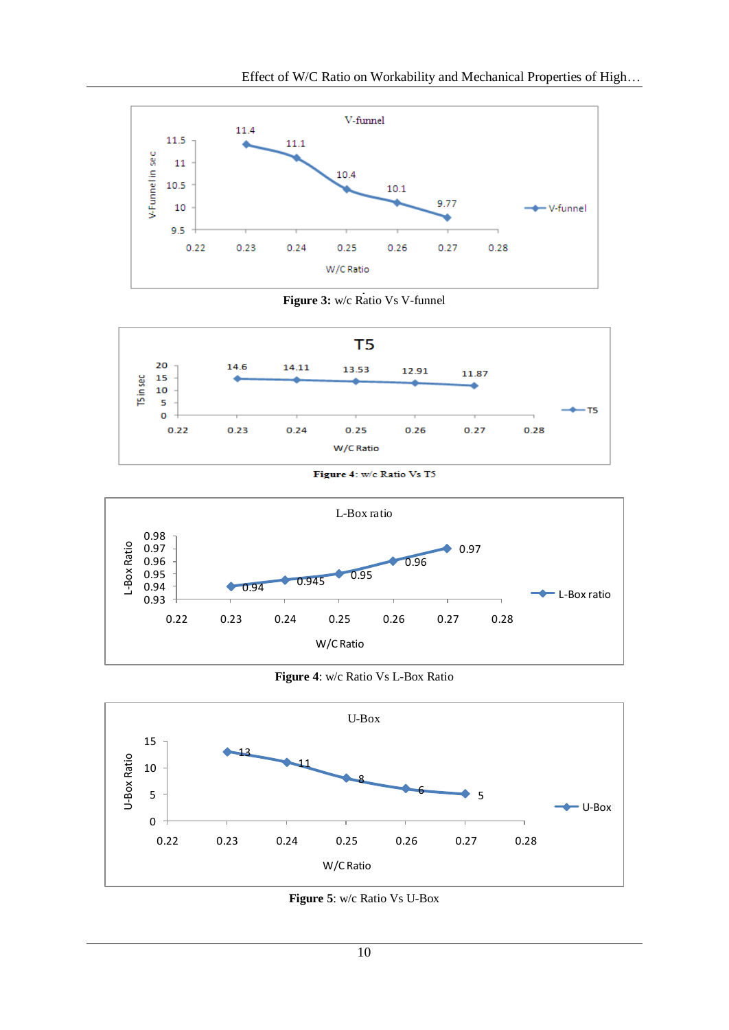





Figure 4: w/c Ratio Vs T5



**Figure 4**: w/c Ratio Vs L-Box Ratio



**Figure 5**: w/c Ratio Vs U-Box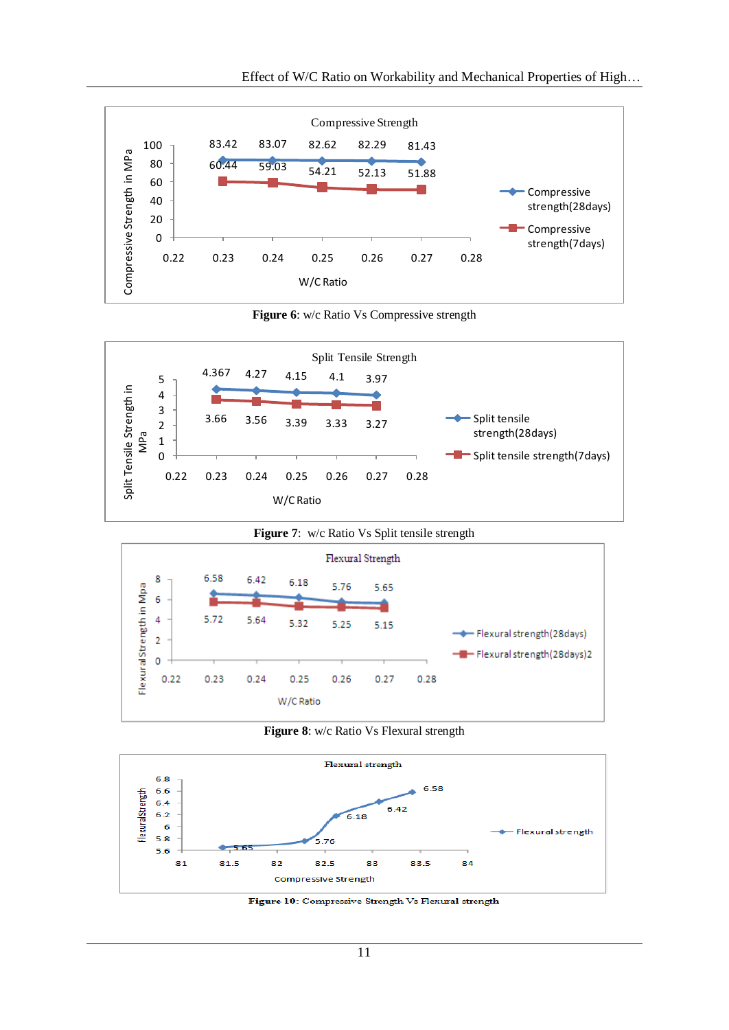

**Figure 6**: w/c Ratio Vs Compressive strength





**Figure 8**: w/c Ratio Vs Flexural strength



Figure 10: Compressive Strength Vs Flexural strength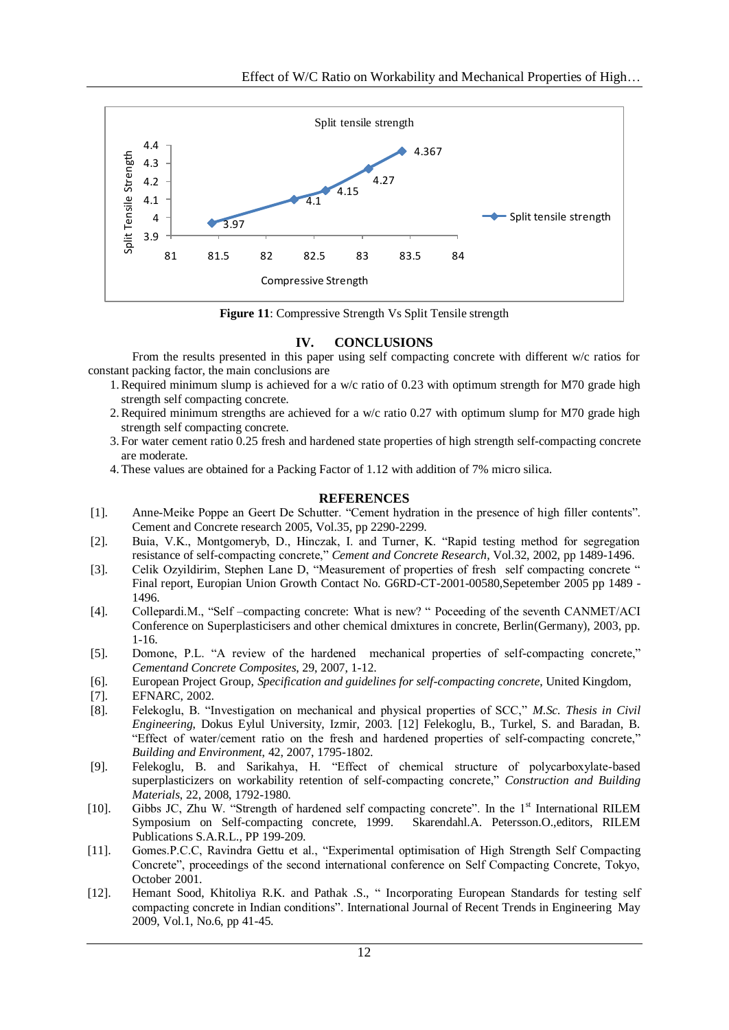

**Figure 11**: Compressive Strength Vs Split Tensile strength

### **IV. CONCLUSIONS**

From the results presented in this paper using self compacting concrete with different w/c ratios for constant packing factor, the main conclusions are

- 1.Required minimum slump is achieved for a w/c ratio of 0.23 with optimum strength for M70 grade high strength self compacting concrete.
- 2.Required minimum strengths are achieved for a w/c ratio 0.27 with optimum slump for M70 grade high strength self compacting concrete.
- 3. For water cement ratio 0.25 fresh and hardened state properties of high strength self-compacting concrete are moderate.
- 4. These values are obtained for a Packing Factor of 1.12 with addition of 7% micro silica.

### **REFERENCES**

- [1]. Anne-Meike Poppe an Geert De Schutter. "Cement hydration in the presence of high filler contents". Cement and Concrete research 2005, Vol.35, pp 2290-2299.
- [2]. Buia, V.K., Montgomeryb, D., Hinczak, I. and Turner, K. "Rapid testing method for segregation resistance of self-compacting concrete," *Cement and Concrete Research*, Vol.32, 2002, pp 1489-1496.
- [3]. Celik Ozyildirim, Stephen Lane D, "Measurement of properties of fresh self compacting concrete " Final report, Europian Union Growth Contact No. G6RD-CT-2001-00580,Sepetember 2005 pp 1489 - 1496.
- [4]. Collepardi.M., "Self –compacting concrete: What is new? " Poceeding of the seventh CANMET/ACI Conference on Superplasticisers and other chemical dmixtures in concrete, Berlin(Germany), 2003, pp. 1-16.
- [5]. Domone, P.L. "A review of the hardened mechanical properties of self-compacting concrete," *Cementand Concrete Composites*, 29, 2007, 1-12.
- [6]. European Project Group, *Specification and guidelines for self-compacting concrete*, United Kingdom,
- [7]. EFNARC, 2002.
- [8]. Felekoglu, B. "Investigation on mechanical and physical properties of SCC," *M.Sc. Thesis in Civil Engineering*, Dokus Eylul University, Izmir, 2003. [12] Felekoglu, B., Turkel, S. and Baradan, B. "Effect of water/cement ratio on the fresh and hardened properties of self-compacting concrete," *Building and Environment*, 42, 2007, 1795-1802.
- [9]. Felekoglu, B. and Sarikahya, H. "Effect of chemical structure of polycarboxylate-based superplasticizers on workability retention of self-compacting concrete," *Construction and Building Materials*, 22, 2008, 1792-1980.
- [10]. Gibbs JC, Zhu W. "Strength of hardened self compacting concrete". In the 1st International RILEM Symposium on Self-compacting concrete, 1999. Skarendahl.A. Petersson.O.,editors, RILEM Publications S.A.R.L., PP 199-209.
- [11]. Gomes.P.C.C, Ravindra Gettu et al., "Experimental optimisation of High Strength Self Compacting Concrete", proceedings of the second international conference on Self Compacting Concrete, Tokyo, October 2001.
- [12]. Hemant Sood, Khitoliya R.K. and Pathak .S., " Incorporating European Standards for testing self compacting concrete in Indian conditions". International Journal of Recent Trends in Engineering May 2009, Vol.1, No.6, pp 41-45.